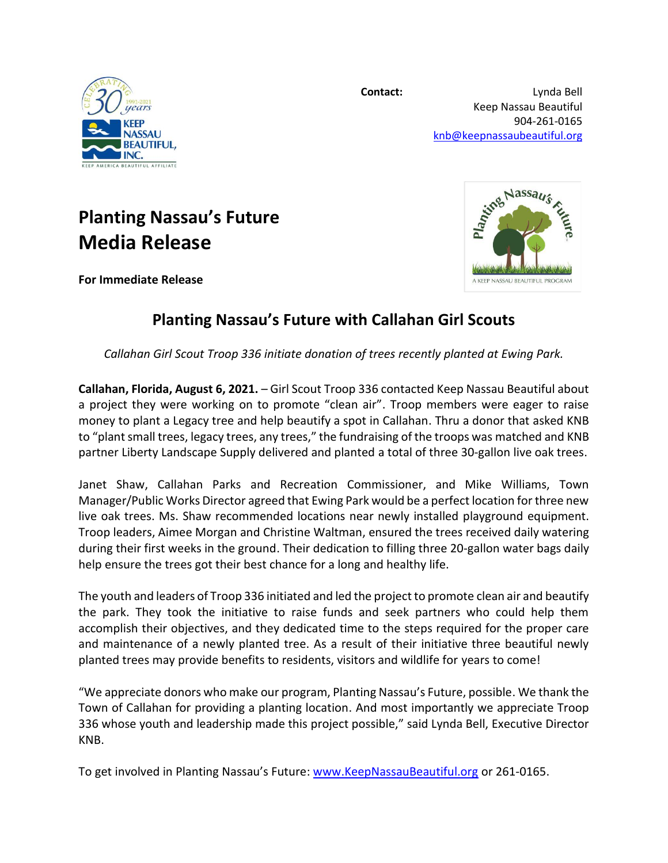

**Contact:** Lynda Bell Keep Nassau Beautiful 904-261-0165 [knb@keepnassaubeautiful.org](mailto:knb@keepnassaubeautiful.org)

## **Planting Nassau's Future Media Release**



**For Immediate Release**

## **Planting Nassau's Future with Callahan Girl Scouts**

*Callahan Girl Scout Troop 336 initiate donation of trees recently planted at Ewing Park.*

**Callahan, Florida, August 6, 2021.** – Girl Scout Troop 336 contacted Keep Nassau Beautiful about a project they were working on to promote "clean air". Troop members were eager to raise money to plant a Legacy tree and help beautify a spot in Callahan. Thru a donor that asked KNB to "plant small trees, legacy trees, any trees," the fundraising of the troops was matched and KNB partner Liberty Landscape Supply delivered and planted a total of three 30-gallon live oak trees.

Janet Shaw, Callahan Parks and Recreation Commissioner, and Mike Williams, Town Manager/Public Works Director agreed that Ewing Park would be a perfect location for three new live oak trees. Ms. Shaw recommended locations near newly installed playground equipment. Troop leaders, Aimee Morgan and Christine Waltman, ensured the trees received daily watering during their first weeks in the ground. Their dedication to filling three 20-gallon water bags daily help ensure the trees got their best chance for a long and healthy life.

The youth and leaders of Troop 336 initiated and led the project to promote clean air and beautify the park. They took the initiative to raise funds and seek partners who could help them accomplish their objectives, and they dedicated time to the steps required for the proper care and maintenance of a newly planted tree. As a result of their initiative three beautiful newly planted trees may provide benefits to residents, visitors and wildlife for years to come!

"We appreciate donors who make our program, Planting Nassau's Future, possible. We thank the Town of Callahan for providing a planting location. And most importantly we appreciate Troop 336 whose youth and leadership made this project possible," said Lynda Bell, Executive Director KNB.

To get involved in Planting Nassau's Future: [www.KeepNassauBeautiful.org](http://www.keepnassaubeautiful.org/) or 261-0165.